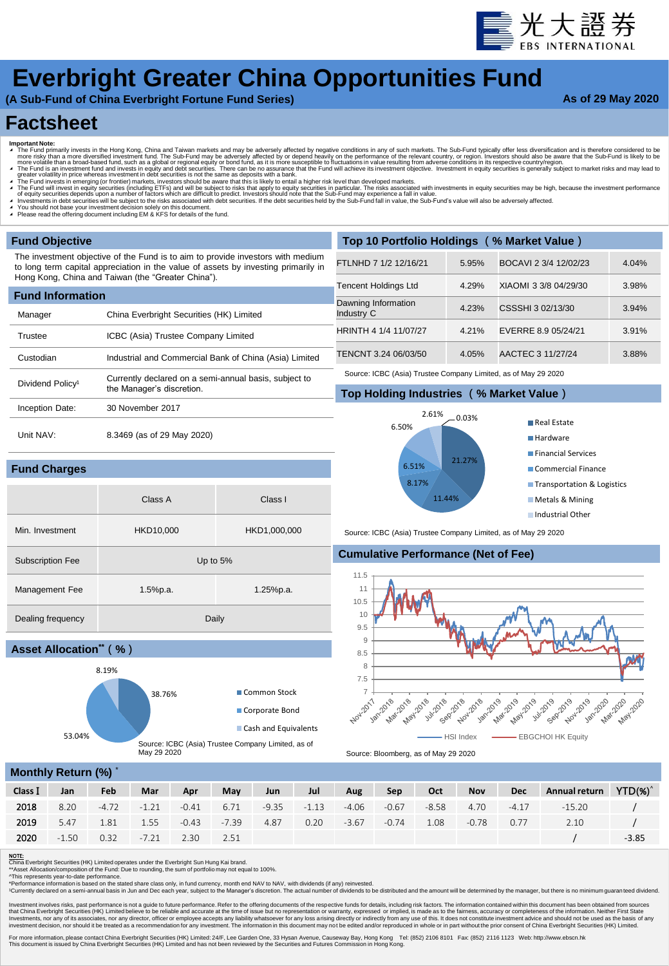

# **Everbright Greater China Opportunities Fund**

**(A Sub-Fund of China Everbright Fortune Fund Series)**

#### **As of 29 May 2020**

## **Factsheet**

- 
- Important Note:<br>The Fund primarily invests in the Hong Kong, China and Taiwan markets and may be adversely affected by negative conditions in any of such markets. The Sub-Fund typically offer less diversification and is th
- 
- A Fhe Fund will invest in equity securities (including ETFs) and will be subject to risks that apply to equity securities in aquity securities may be high, because the investment performance<br>The quity securities depends u
- Investments in debt securities will be subject to the risks associated with debt securities. If the debt securities held by the Sub-Fund fall in value, the Sub-Fund's value will also be adversely affected.
- ◢ You should not base your investment decision solely on this document. ◢ Please read the offering document including EM & KFS for details of the fund.

#### **Fund Objective**

**Fund Charges**

The investment objective of the Fund is to aim to provide investors with medium to long term capital appreciation in the value of assets by investing primarily in Hong Kong, China and Taiwan (the "Greater China").

|                              |                                                        | Tencent Holdings Ltd                                           | 4.29% | XIAOMI 3 3/8 04/29/30          | 3.98% |  |  |  |
|------------------------------|--------------------------------------------------------|----------------------------------------------------------------|-------|--------------------------------|-------|--|--|--|
| <b>Fund Information</b>      |                                                        |                                                                |       |                                |       |  |  |  |
| Manager                      | China Everbright Securities (HK) Limited               | Dawning Information<br>Industry C                              | 4.23% | CSSSHI 3 02/13/30              | 3.94% |  |  |  |
| Trustee                      | ICBC (Asia) Trustee Company Limited                    | HRINTH 4 1/4 11/07/27                                          | 4.21% | EVERRE 8.9 05/24/21            | 3.91% |  |  |  |
| Custodian                    | Industrial and Commercial Bank of China (Asia) Limited | TENCNT 3.24 06/03/50                                           | 4.05% | AACTEC 3 11/27/24              | 3.88% |  |  |  |
|                              | Currently declared on a semi-annual basis, subject to  | Source: ICBC (Asia) Trustee Company Limited, as of May 29 2020 |       |                                |       |  |  |  |
| Dividend Policy <sup>1</sup> | the Manager's discretion.                              | Top Holding Industries (% Market Value)                        |       |                                |       |  |  |  |
| Inception Date:              | 30 November 2017                                       | 2.61%                                                          | 0.03% |                                |       |  |  |  |
| Unit NAV:                    | 8.3469 (as of 29 May 2020)                             | 6.50%                                                          |       | Real Estate<br><b>Hardware</b> |       |  |  |  |

Min. Investment HKD10,000 HKD1,000,000

Management Fee 1.5%p.a. 1.5%p.a. 1.25%p.a.

### **Top Holding Industries (% Market Value)** Source: ICBC (Asia) Trustee Company Limited, as of May 29 2020

**Top 10 Portfolio Holdings (% Market Value)**

FTLNHD 7 1/2 12/16/21 5.95% BOCAVI 2 3/4 12/02/23 4.04%





- **Financial Services**
- Commercial Finance
- **Transportation & Logistics**
- **Metals & Mining**
- Industrial Other

Source: ICBC (Asia) Trustee Company Limited, as of May 29 2020

#### **Cumulative Performance (Net of Fee)**





| Monthly Return (%) $\check{ }}$ |  |
|---------------------------------|--|
|                                 |  |

53.04%

**Asset Allocation\*\*(%)**

8.19%

Subscription Fee Up to 5%

Dealing frequency Daily

| <b>IVIUIIIIIIIIII</b> INGLUIIII (70) |         |         |         |         |         |            |         |         |         |         |            |            |               |                    |
|--------------------------------------|---------|---------|---------|---------|---------|------------|---------|---------|---------|---------|------------|------------|---------------|--------------------|
| Class I                              | Jan     | Feb     | Mar     | Apr     | May     | <b>Jun</b> | Jul     | Aug     | Sep     | Oct     | <b>Nov</b> | <b>Dec</b> | Annual return | $YTD(\%)^{\wedge}$ |
| 2018                                 | 8.20    | $-4.72$ | $-1.21$ | $-0.41$ | 6.71    | $-9.35$    | $-1.13$ | $-4.06$ | $-0.67$ | $-8.58$ | 4.70       | $-4.17$    | $-15.20$      |                    |
| 2019                                 | 5.47    | 1.81    | 1.55    | $-0.43$ | $-7.39$ | 4.87       | 0.20    | $-3.67$ | $-0.74$ | 1.08    | $-0.78$    | 0.77       | 2.10          |                    |
| 2020                                 | $-1.50$ | 0.32    | $-7.21$ | 2.30    | 2.51    |            |         |         |         |         |            |            |               | $-3.85$            |

NOTE:<br>China Everbright Securities (HK) Limited operates under the Everbright Sun Hung Kai brand.<br>\*\*Asset Allocation/composition of the Fund: Due to rounding, the sum of portfolio may not equal to 100%.<br>^This represents yea

"Performance information is based on the stated share class only, in fund currency, month end NAV to NAV, with dividends (if any) reinvested.<br>"Currently declared on a semi-annual basis in Jun and Dec each year, subject to

vestment involves risks, past performance is not a guide to future performance. Refer to the offering documents of the respective funds for details, including risk factors. The information contained within this document ha that China Everbright Securities (HK) Limited believe to be reliable and accurate at the time of issue but no representation or warranty, expressed or implied, is made as to the fairness, accuracy or completeness of the in

For more information, please contact China Everbright Securities (HK) Limited: 24/F, Lee Garden One, 33 Hysan Avenue, Causeway Bay, Hong Kong Tel: (852) 2106 8101 Fax: (852) 2116 1123 Web: http://www.ebscn.hk<br>This document



Class A Class I

Source: ICBC (Asia) Trustee Company Limited, as of May 29 2020